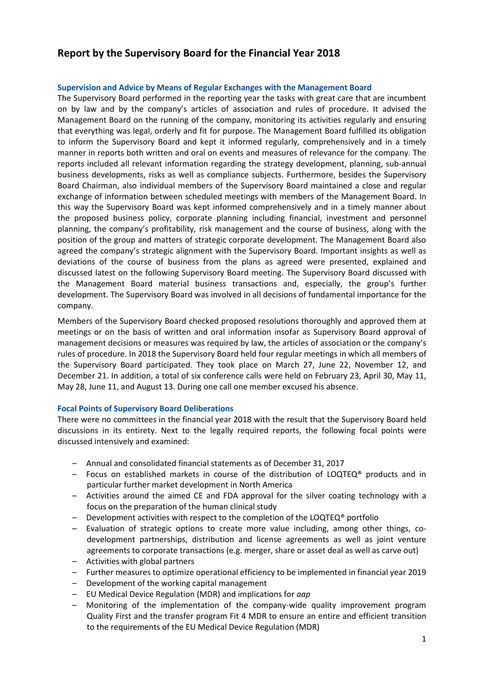# **Report by the Supervisory Board for the Financial Year 2018**

### **Supervision and Advice by Means of Regular Exchanges with the Management Board**

The Supervisory Board performed in the reporting year the tasks with great care that are incumbent on by law and by the company's articles of association and rules of procedure. It advised the Management Board on the running of the company, monitoring its activities regularly and ensuring that everything was legal, orderly and fit for purpose. The Management Board fulfilled its obligation to inform the Supervisory Board and kept it informed regularly, comprehensively and in a timely manner in reports both written and oral on events and measures of relevance for the company. The reports included all relevant information regarding the strategy development, planning, sub-annual business developments, risks as well as compliance subjects. Furthermore, besides the Supervisory Board Chairman, also individual members of the Supervisory Board maintained a close and regular exchange of information between scheduled meetings with members of the Management Board. In this way the Supervisory Board was kept informed comprehensively and in a timely manner about the proposed business policy, corporate planning including financial, investment and personnel planning, the company's profitability, risk management and the course of business, along with the position of the group and matters of strategic corporate development. The Management Board also agreed the company's strategic alignment with the Supervisory Board. Important insights as well as deviations of the course of business from the plans as agreed were presented, explained and discussed latest on the following Supervisory Board meeting. The Supervisory Board discussed with the Management Board material business transactions and, especially, the group's further development. The Supervisory Board was involved in all decisions of fundamental importance for the company.

Members of the Supervisory Board checked proposed resolutions thoroughly and approved them at meetings or on the basis of written and oral information insofar as Supervisory Board approval of management decisions or measures was required by law, the articles of association or the company's rules of procedure. In 2018 the Supervisory Board held four regular meetings in which all members of the Supervisory Board participated. They took place on March 27, June 22, November 12, and December 21. In addition, a total of six conference calls were held on February 23, April 30, May 11, May 28, June 11, and August 13. During one call one member excused his absence.

### **Focal Points of Supervisory Board Deliberations**

There were no committees in the financial year 2018 with the result that the Supervisory Board held discussions in its entirety. Next to the legally required reports, the following focal points were discussed intensively and examined:

- Annual and consolidated financial statements as of December 31, 2017
- Focus on established markets in course of the distribution of LOQTEQ<sup>®</sup> products and in particular further market development in North America
- Activities around the aimed CE and FDA approval for the silver coating technology with a focus on the preparation of the human clinical study
- Development activities with respect to the completion of the LOQTEQ® portfolio
- Evaluation of strategic options to create more value including, among other things, codevelopment partnerships, distribution and license agreements as well as joint venture agreements to corporate transactions (e.g. merger, share or asset deal as well as carve out)
- Activities with global partners
- Further measures to optimize operational efficiency to be implemented in financial year 2019
- Development of the working capital management
- EU Medical Device Regulation (MDR) and implications for *aap*
- Monitoring of the implementation of the company-wide quality improvement program Quality First and the transfer program Fit 4 MDR to ensure an entire and efficient transition to the requirements of the EU Medical Device Regulation (MDR)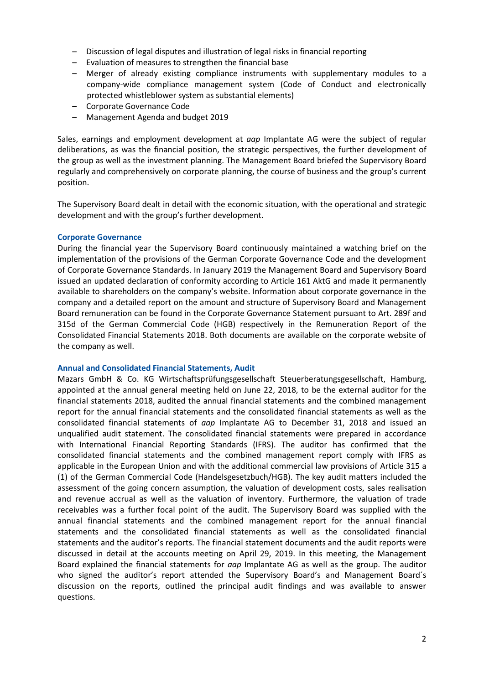- Discussion of legal disputes and illustration of legal risks in financial reporting
- Evaluation of measures to strengthen the financial base
- Merger of already existing compliance instruments with supplementary modules to a company-wide compliance management system (Code of Conduct and electronically protected whistleblower system as substantial elements)
- Corporate Governance Code
- Management Agenda and budget 2019

Sales, earnings and employment development at *aap* Implantate AG were the subject of regular deliberations, as was the financial position, the strategic perspectives, the further development of the group as well as the investment planning. The Management Board briefed the Supervisory Board regularly and comprehensively on corporate planning, the course of business and the group's current position.

The Supervisory Board dealt in detail with the economic situation, with the operational and strategic development and with the group's further development.

## **Corporate Governance**

During the financial year the Supervisory Board continuously maintained a watching brief on the implementation of the provisions of the German Corporate Governance Code and the development of Corporate Governance Standards. In January 2019 the Management Board and Supervisory Board issued an updated declaration of conformity according to Article 161 AktG and made it permanently available to shareholders on the company's website. Information about corporate governance in the company and a detailed report on the amount and structure of Supervisory Board and Management Board remuneration can be found in the Corporate Governance Statement pursuant to Art. 289f and 315d of the German Commercial Code (HGB) respectively in the Remuneration Report of the Consolidated Financial Statements 2018. Both documents are available on the corporate website of the company as well.

### **Annual and Consolidated Financial Statements, Audit**

Mazars GmbH & Co. KG Wirtschaftsprüfungsgesellschaft Steuerberatungsgesellschaft, Hamburg, appointed at the annual general meeting held on June 22, 2018, to be the external auditor for the financial statements 2018, audited the annual financial statements and the combined management report for the annual financial statements and the consolidated financial statements as well as the consolidated financial statements of *aap* Implantate AG to December 31, 2018 and issued an unqualified audit statement. The consolidated financial statements were prepared in accordance with International Financial Reporting Standards (IFRS). The auditor has confirmed that the consolidated financial statements and the combined management report comply with IFRS as applicable in the European Union and with the additional commercial law provisions of Article 315 a (1) of the German Commercial Code (Handelsgesetzbuch/HGB). The key audit matters included the assessment of the going concern assumption, the valuation of development costs, sales realisation and revenue accrual as well as the valuation of inventory. Furthermore, the valuation of trade receivables was a further focal point of the audit. The Supervisory Board was supplied with the annual financial statements and the combined management report for the annual financial statements and the consolidated financial statements as well as the consolidated financial statements and the auditor's reports. The financial statement documents and the audit reports were discussed in detail at the accounts meeting on April 29, 2019. In this meeting, the Management Board explained the financial statements for *aap* Implantate AG as well as the group. The auditor who signed the auditor's report attended the Supervisory Board's and Management Board´s discussion on the reports, outlined the principal audit findings and was available to answer questions.